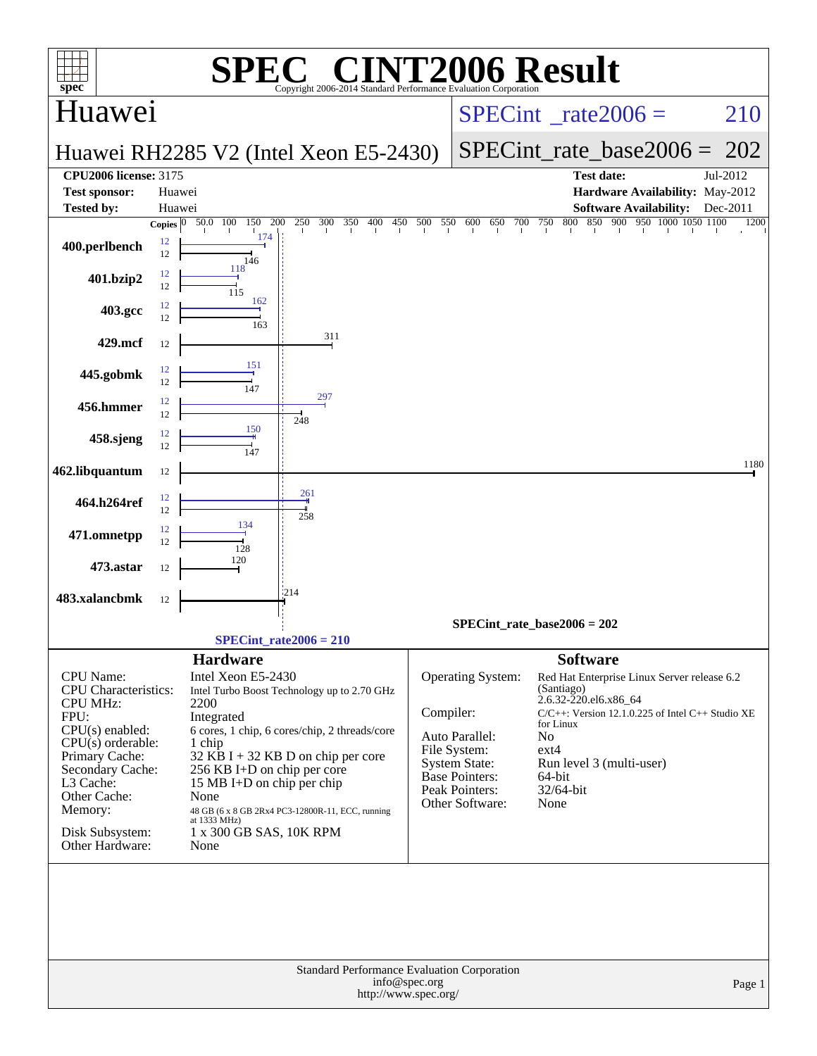| $\mathbf{P}(\mathbf{R})$<br>SPI                                                                                                                                                                                                                                                                                                                                                                                                                                                                                                                                                                                           | <b>NT2006 Result</b>                                                                                                                                                                                                                                                                                                                                                                            |
|---------------------------------------------------------------------------------------------------------------------------------------------------------------------------------------------------------------------------------------------------------------------------------------------------------------------------------------------------------------------------------------------------------------------------------------------------------------------------------------------------------------------------------------------------------------------------------------------------------------------------|-------------------------------------------------------------------------------------------------------------------------------------------------------------------------------------------------------------------------------------------------------------------------------------------------------------------------------------------------------------------------------------------------|
| $spec^*$<br>Copyright 2006-2014 Standard Performance Evaluation Corporation<br><b>Huawei</b>                                                                                                                                                                                                                                                                                                                                                                                                                                                                                                                              | 210<br>$SPECint^{\circ}$ rate $2006 =$                                                                                                                                                                                                                                                                                                                                                          |
| Huawei RH2285 V2 (Intel Xeon E5-2430)                                                                                                                                                                                                                                                                                                                                                                                                                                                                                                                                                                                     | SPECint rate base $2006 = 202$                                                                                                                                                                                                                                                                                                                                                                  |
| <b>CPU2006 license: 3175</b><br><b>Test sponsor:</b><br>Huawei<br><b>Tested by:</b><br>Huawei<br>50.0 100<br>200<br>250<br>300<br>350<br>500<br>Copies $\overline{0}$<br>150<br>400<br>450                                                                                                                                                                                                                                                                                                                                                                                                                                | Jul-2012<br><b>Test date:</b><br>Hardware Availability: May-2012<br><b>Software Availability:</b><br>Dec-2011<br>850 900<br>950 1000 1050 1100<br>550<br>800<br>600<br>650<br>700<br>750<br>1200                                                                                                                                                                                                |
| 174<br>12<br>400.perlbench<br>12<br>146                                                                                                                                                                                                                                                                                                                                                                                                                                                                                                                                                                                   |                                                                                                                                                                                                                                                                                                                                                                                                 |
| 118<br>12<br>401.bzip2<br>12<br>115<br>162                                                                                                                                                                                                                                                                                                                                                                                                                                                                                                                                                                                |                                                                                                                                                                                                                                                                                                                                                                                                 |
| 12<br>403.gcc<br>12<br>163                                                                                                                                                                                                                                                                                                                                                                                                                                                                                                                                                                                                |                                                                                                                                                                                                                                                                                                                                                                                                 |
| 311<br>429.mcf<br>12<br>151                                                                                                                                                                                                                                                                                                                                                                                                                                                                                                                                                                                               |                                                                                                                                                                                                                                                                                                                                                                                                 |
| 12<br>445.gobmk<br>12<br>147<br>297                                                                                                                                                                                                                                                                                                                                                                                                                                                                                                                                                                                       |                                                                                                                                                                                                                                                                                                                                                                                                 |
| 12<br>456.hmmer<br>12<br>248<br>150<br>12                                                                                                                                                                                                                                                                                                                                                                                                                                                                                                                                                                                 |                                                                                                                                                                                                                                                                                                                                                                                                 |
| 458.sjeng<br>12<br>147                                                                                                                                                                                                                                                                                                                                                                                                                                                                                                                                                                                                    | 1180                                                                                                                                                                                                                                                                                                                                                                                            |
| 462.libquantum<br>12<br>261<br>12                                                                                                                                                                                                                                                                                                                                                                                                                                                                                                                                                                                         |                                                                                                                                                                                                                                                                                                                                                                                                 |
| 464.h264ref<br>12<br>258<br>134<br>12                                                                                                                                                                                                                                                                                                                                                                                                                                                                                                                                                                                     |                                                                                                                                                                                                                                                                                                                                                                                                 |
| 471.omnetpp<br>12<br>128<br>120<br>473.astar<br>12                                                                                                                                                                                                                                                                                                                                                                                                                                                                                                                                                                        |                                                                                                                                                                                                                                                                                                                                                                                                 |
| 1214<br>483.xalancbmk<br>12                                                                                                                                                                                                                                                                                                                                                                                                                                                                                                                                                                                               |                                                                                                                                                                                                                                                                                                                                                                                                 |
|                                                                                                                                                                                                                                                                                                                                                                                                                                                                                                                                                                                                                           | $SPECint_rate_base2006 = 202$                                                                                                                                                                                                                                                                                                                                                                   |
| $SPECint_rate2006 = 210$                                                                                                                                                                                                                                                                                                                                                                                                                                                                                                                                                                                                  | <b>Software</b>                                                                                                                                                                                                                                                                                                                                                                                 |
| <b>Hardware</b><br>CPU Name:<br>Intel Xeon E5-2430<br>CPU Characteristics:<br>Intel Turbo Boost Technology up to 2.70 GHz<br><b>CPU MHz:</b><br>2200<br>FPU:<br>Integrated<br>$CPU(s)$ enabled:<br>6 cores, 1 chip, 6 cores/chip, 2 threads/core<br>$CPU(s)$ orderable:<br>1 chip<br>Primary Cache:<br>$32$ KB I + 32 KB D on chip per core<br>Secondary Cache:<br>256 KB I+D on chip per core<br>L3 Cache:<br>15 MB I+D on chip per chip<br>Other Cache:<br>None<br>Memory:<br>48 GB (6 x 8 GB 2Rx4 PC3-12800R-11, ECC, running<br>at 1333 MHz)<br>Disk Subsystem:<br>1 x 300 GB SAS, 10K RPM<br>Other Hardware:<br>None | Operating System:<br>Red Hat Enterprise Linux Server release 6.2<br>(Santiago)<br>2.6.32-220.el6.x86 64<br>Compiler:<br>$C/C++$ : Version 12.1.0.225 of Intel $C++$ Studio XE<br>for Linux<br>No<br>Auto Parallel:<br>File System:<br>$ext{4}$<br><b>System State:</b><br>Run level 3 (multi-user)<br>Base Pointers:<br>64-bit<br><b>Peak Pointers:</b><br>32/64-bit<br>Other Software:<br>None |
| Standard Performance Evaluation Corporation<br>info@spec.org<br>http://www.spec.org/                                                                                                                                                                                                                                                                                                                                                                                                                                                                                                                                      | Page 1                                                                                                                                                                                                                                                                                                                                                                                          |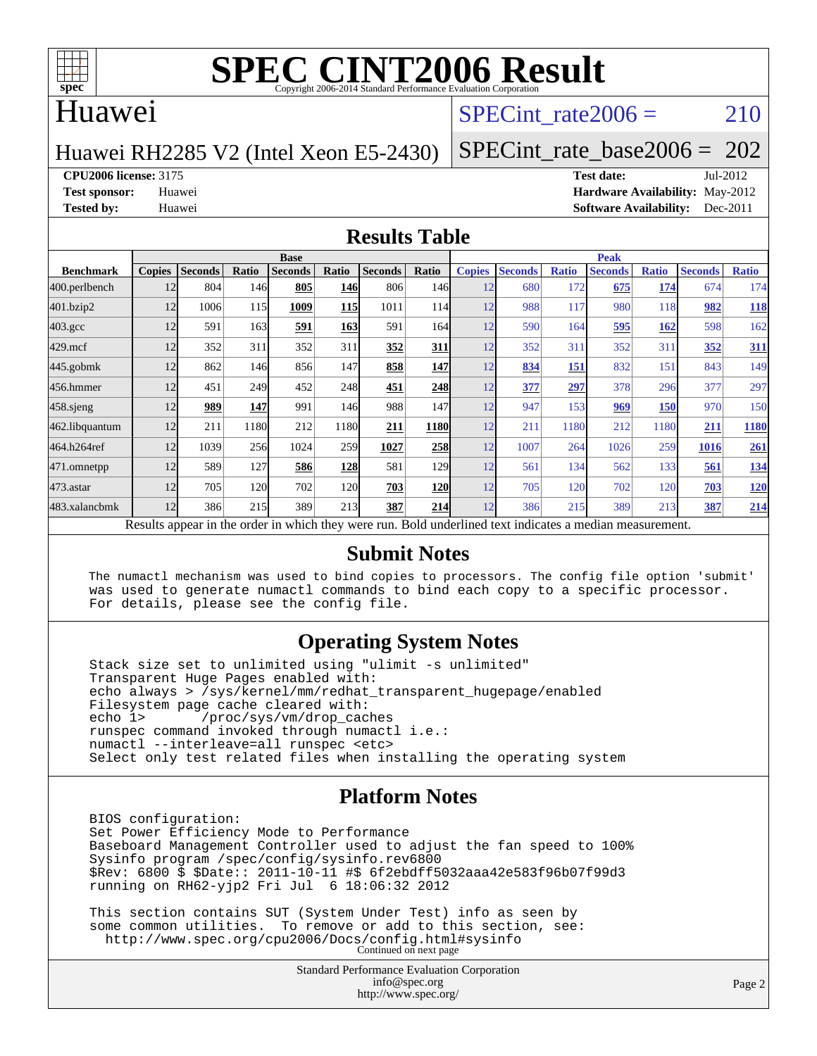

### Huawei

### SPECint rate $2006 = 210$

#### Huawei RH2285 V2 (Intel Xeon E5-2430)

[SPECint\\_rate\\_base2006 =](http://www.spec.org/auto/cpu2006/Docs/result-fields.html#SPECintratebase2006) 202

**[CPU2006 license:](http://www.spec.org/auto/cpu2006/Docs/result-fields.html#CPU2006license)** 3175 **[Test date:](http://www.spec.org/auto/cpu2006/Docs/result-fields.html#Testdate)** Jul-2012

**[Test sponsor:](http://www.spec.org/auto/cpu2006/Docs/result-fields.html#Testsponsor)** Huawei **[Hardware Availability:](http://www.spec.org/auto/cpu2006/Docs/result-fields.html#HardwareAvailability)** May-2012 **[Tested by:](http://www.spec.org/auto/cpu2006/Docs/result-fields.html#Testedby)** Huawei **[Software Availability:](http://www.spec.org/auto/cpu2006/Docs/result-fields.html#SoftwareAvailability)** Dec-2011

#### **[Results Table](http://www.spec.org/auto/cpu2006/Docs/result-fields.html#ResultsTable)**

|                    | <b>Base</b>   |                |       |                                                                                                          |            |                |                  | <b>Peak</b>   |                |              |                |              |                |              |
|--------------------|---------------|----------------|-------|----------------------------------------------------------------------------------------------------------|------------|----------------|------------------|---------------|----------------|--------------|----------------|--------------|----------------|--------------|
| <b>Benchmark</b>   | <b>Copies</b> | <b>Seconds</b> | Ratio | <b>Seconds</b>                                                                                           | Ratio      | <b>Seconds</b> | Ratio            | <b>Copies</b> | <b>Seconds</b> | <b>Ratio</b> | <b>Seconds</b> | <b>Ratio</b> | <b>Seconds</b> | <b>Ratio</b> |
| 400.perlbench      | 12            | 804            | 146   | 805                                                                                                      | 146        | 806            | 146 <sup>I</sup> | 12            | 680            | 172          | 675            | 174          | 674            | 174          |
| 401.bzip2          | 12            | 1006           | 115   | 1009                                                                                                     | <b>115</b> | 1011           | 114I             | 12            | 988            | 117          | 980            | 118          | 982            | <u>118</u>   |
| $403.\mathrm{gcc}$ | 12            | 591            | 163   | 591                                                                                                      | 163        | 591            | 164I             | 12            | 590            | 164          | 595            | 162          | 598            | 162          |
| $429$ .mcf         | 12            | 352            | 311   | 352                                                                                                      | 311        | 352            | 311              | 12            | 352            | 311          | 352            | 311          | 352            | 311          |
| 445.gobmk          | 12            | 862            | 146   | 856                                                                                                      | 147        | 858            | <b>147</b>       | 12            | 834            | 151          | 832            | 151          | 843            | 149          |
| 456.hmmer          | 12            | 451            | 249   | 452                                                                                                      | 248        | 451            | 248              | 12            | 377            | 297          | 378            | 296          | 377            | 297          |
| $458$ .sjeng       | 12            | 989            | 147   | 991                                                                                                      | 146        | 988            | 147              | 12            | 947            | 153          | 969            | <b>150</b>   | 970            | 150          |
| 462.libquantum     | 12            | 211            | 1180  | 212                                                                                                      | 1180       | 211            | <b>1180</b>      | 12            | 211            | 1180         | 212            | 1180         | 211            | 1180         |
| 464.h264ref        | 12            | 1039           | 256   | 1024                                                                                                     | 259        | 1027           | 258              | 12            | 1007           | 264          | 1026           | 259          | 1016           | 261          |
| 471.omnetpp        | 12            | 589            | 127   | 586                                                                                                      | <u>128</u> | 581            | <b>129</b>       | 12            | 561            | 134          | 562            | 133          | 561            | <u>134</u>   |
| 473.astar          | 12            | 705            | 120   | 702                                                                                                      | 120        | 703            | <b>120</b>       | 12            | 705            | 120          | 702            | 120          | 703            | <b>120</b>   |
| 483.xalancbmk      | 12            | 386            | 215   | 389                                                                                                      | 213        | 387            | 214              | 12            | 386            | 215          | 389            | 213          | 387            | 214          |
|                    |               |                |       | Results appear in the order in which they were run. Bold underlined text indicates a median measurement. |            |                |                  |               |                |              |                |              |                |              |

#### **[Submit Notes](http://www.spec.org/auto/cpu2006/Docs/result-fields.html#SubmitNotes)**

 The numactl mechanism was used to bind copies to processors. The config file option 'submit' was used to generate numactl commands to bind each copy to a specific processor. For details, please see the config file.

#### **[Operating System Notes](http://www.spec.org/auto/cpu2006/Docs/result-fields.html#OperatingSystemNotes)**

 Stack size set to unlimited using "ulimit -s unlimited" Transparent Huge Pages enabled with: echo always > /sys/kernel/mm/redhat\_transparent\_hugepage/enabled Filesystem page cache cleared with:<br>echo 1> /proc/sys/vm/drop cac /proc/sys/vm/drop\_caches runspec command invoked through numactl i.e.: numactl --interleave=all runspec <etc> Select only test related files when installing the operating system

#### **[Platform Notes](http://www.spec.org/auto/cpu2006/Docs/result-fields.html#PlatformNotes)**

 BIOS configuration: Set Power Efficiency Mode to Performance Baseboard Management Controller used to adjust the fan speed to 100% Sysinfo program /spec/config/sysinfo.rev6800 \$Rev: 6800 \$ \$Date:: 2011-10-11 #\$ 6f2ebdff5032aaa42e583f96b07f99d3 running on RH62-yjp2 Fri Jul 6 18:06:32 2012

 This section contains SUT (System Under Test) info as seen by some common utilities. To remove or add to this section, see: <http://www.spec.org/cpu2006/Docs/config.html#sysinfo> Continued on next page

> Standard Performance Evaluation Corporation [info@spec.org](mailto:info@spec.org) <http://www.spec.org/>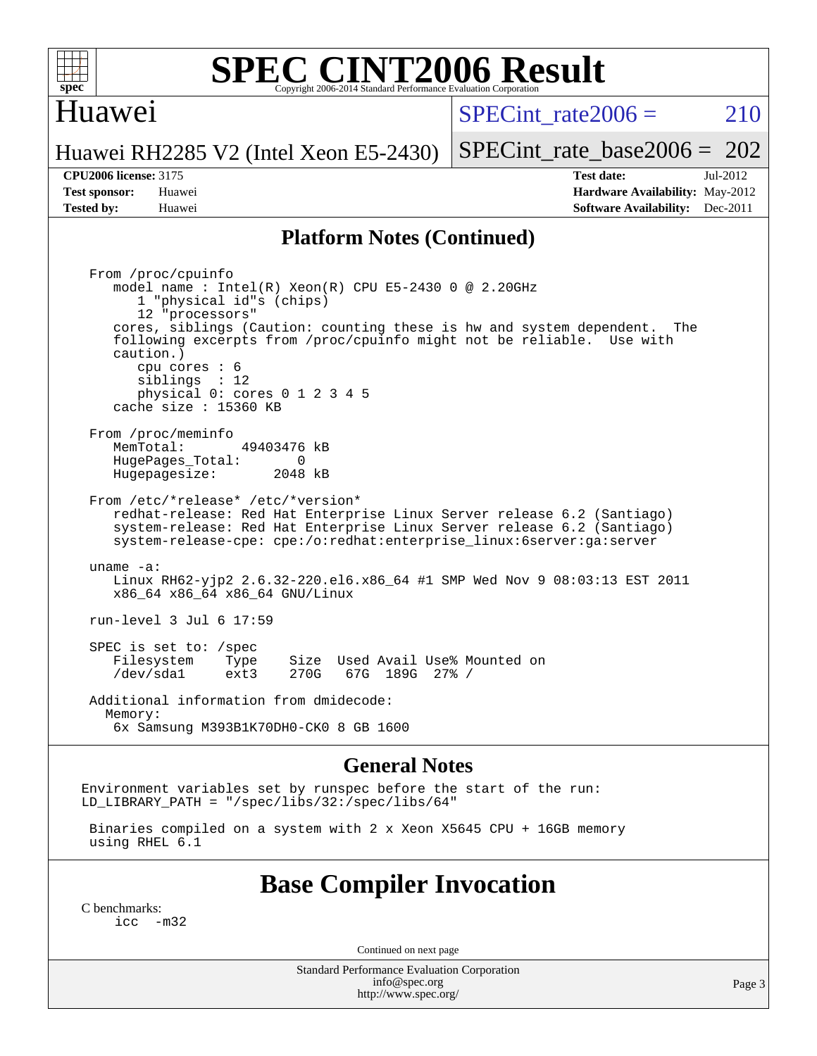

### Huawei

SPECint rate $2006 = 210$ 

Huawei RH2285 V2 (Intel Xeon E5-2430)

[SPECint\\_rate\\_base2006 =](http://www.spec.org/auto/cpu2006/Docs/result-fields.html#SPECintratebase2006) 202

**[Tested by:](http://www.spec.org/auto/cpu2006/Docs/result-fields.html#Testedby)** Huawei **[Software Availability:](http://www.spec.org/auto/cpu2006/Docs/result-fields.html#SoftwareAvailability)** Dec-2011

**[CPU2006 license:](http://www.spec.org/auto/cpu2006/Docs/result-fields.html#CPU2006license)** 3175 **[Test date:](http://www.spec.org/auto/cpu2006/Docs/result-fields.html#Testdate)** Jul-2012 **[Test sponsor:](http://www.spec.org/auto/cpu2006/Docs/result-fields.html#Testsponsor)** Huawei **[Hardware Availability:](http://www.spec.org/auto/cpu2006/Docs/result-fields.html#HardwareAvailability)** May-2012

#### **[Platform Notes \(Continued\)](http://www.spec.org/auto/cpu2006/Docs/result-fields.html#PlatformNotes)**

 From /proc/cpuinfo model name : Intel(R) Xeon(R) CPU E5-2430 0 @ 2.20GHz 1 "physical id"s (chips) 12 "processors" cores, siblings (Caution: counting these is hw and system dependent. The following excerpts from /proc/cpuinfo might not be reliable. Use with caution.) cpu cores : 6 siblings : 12 physical 0: cores 0 1 2 3 4 5 cache size : 15360 KB From /proc/meminfo<br>MemTotal: 49403476 kB HugePages\_Total: 0<br>Hugepagesize: 2048 kB Hugepagesize: From /etc/\*release\* /etc/\*version\* redhat-release: Red Hat Enterprise Linux Server release 6.2 (Santiago) system-release: Red Hat Enterprise Linux Server release 6.2 (Santiago) system-release-cpe: cpe:/o:redhat:enterprise\_linux:6server:ga:server uname -a: Linux RH62-yjp2 2.6.32-220.el6.x86\_64 #1 SMP Wed Nov 9 08:03:13 EST 2011 x86\_64 x86\_64 x86\_64 GNU/Linux run-level 3 Jul 6 17:59 SPEC is set to: /spec Filesystem Type Size Used Avail Use% Mounted on<br>
/dev/sdal ext3 270G 67G 189G 27% / 67G 189G 27% / Additional information from dmidecode: Memory: 6x Samsung M393B1K70DH0-CK0 8 GB 1600

#### **[General Notes](http://www.spec.org/auto/cpu2006/Docs/result-fields.html#GeneralNotes)**

Environment variables set by runspec before the start of the run: LD LIBRARY PATH = "/spec/libs/32:/spec/libs/64"

 Binaries compiled on a system with 2 x Xeon X5645 CPU + 16GB memory using RHEL 6.1

### **[Base Compiler Invocation](http://www.spec.org/auto/cpu2006/Docs/result-fields.html#BaseCompilerInvocation)**

[C benchmarks](http://www.spec.org/auto/cpu2006/Docs/result-fields.html#Cbenchmarks):  $inc -m32$ 

Continued on next page

Standard Performance Evaluation Corporation [info@spec.org](mailto:info@spec.org) <http://www.spec.org/>

Page 3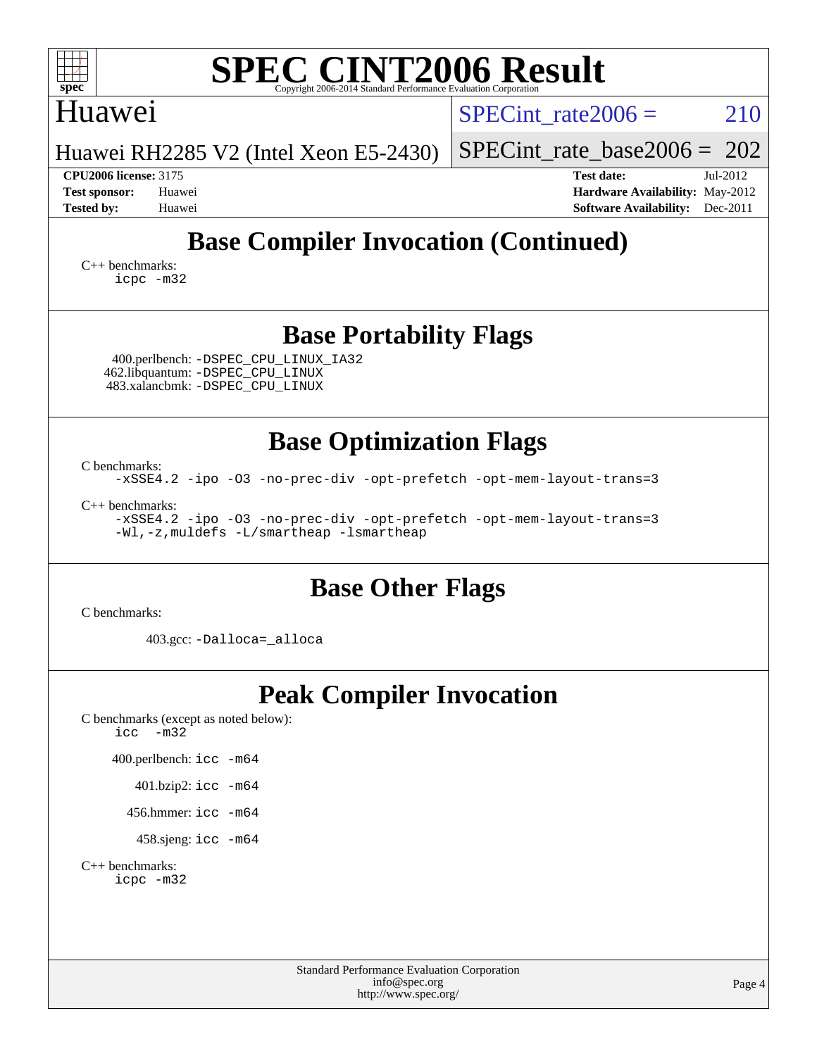| <b>SPEC CINT2006 Result</b><br>spec <sup>®</sup><br>Convright 2006-2014 Standard Performance Evaluation Corporation                           |                                                                                                                 |  |  |  |  |  |
|-----------------------------------------------------------------------------------------------------------------------------------------------|-----------------------------------------------------------------------------------------------------------------|--|--|--|--|--|
| <b>Huawei</b>                                                                                                                                 | $SPECint$ rate $2006 =$<br>210                                                                                  |  |  |  |  |  |
| Huawei RH2285 V2 (Intel Xeon E5-2430)                                                                                                         | $SPECint_rate_base2006 = 202$                                                                                   |  |  |  |  |  |
| <b>CPU2006 license: 3175</b><br><b>Test sponsor:</b><br>Huawei<br><b>Tested by:</b><br>Huawei                                                 | <b>Test date:</b><br>$Jul-2012$<br>Hardware Availability: May-2012<br><b>Software Availability:</b><br>Dec-2011 |  |  |  |  |  |
| <b>Base Compiler Invocation (Continued)</b>                                                                                                   |                                                                                                                 |  |  |  |  |  |
| $C_{++}$ benchmarks:<br>icpc -m32                                                                                                             |                                                                                                                 |  |  |  |  |  |
| <b>Base Portability Flags</b><br>400.perlbench: -DSPEC_CPU_LINUX_IA32<br>462.libquantum: - DSPEC CPU LINUX<br>483.xalancbmk: -DSPEC_CPU_LINUX |                                                                                                                 |  |  |  |  |  |
| <b>Base Optimization Flags</b>                                                                                                                |                                                                                                                 |  |  |  |  |  |
| C benchmarks:<br>-xSSE4.2 -ipo -03 -no-prec-div -opt-prefetch -opt-mem-layout-trans=3                                                         |                                                                                                                 |  |  |  |  |  |
| $C++$ benchmarks:<br>-xSSE4.2 -ipo -03 -no-prec-div -opt-prefetch -opt-mem-layout-trans=3<br>-Wl,-z, muldefs -L/smartheap -lsmartheap         |                                                                                                                 |  |  |  |  |  |
|                                                                                                                                               |                                                                                                                 |  |  |  |  |  |

#### **[Base Other Flags](http://www.spec.org/auto/cpu2006/Docs/result-fields.html#BaseOtherFlags)**

[C benchmarks](http://www.spec.org/auto/cpu2006/Docs/result-fields.html#Cbenchmarks):

403.gcc: [-Dalloca=\\_alloca](http://www.spec.org/cpu2006/results/res2012q3/cpu2006-20120711-23596.flags.html#b403.gcc_baseEXTRA_CFLAGS_Dalloca_be3056838c12de2578596ca5467af7f3)

# **[Peak Compiler Invocation](http://www.spec.org/auto/cpu2006/Docs/result-fields.html#PeakCompilerInvocation)**

[C benchmarks \(except as noted below\)](http://www.spec.org/auto/cpu2006/Docs/result-fields.html#Cbenchmarksexceptasnotedbelow):  $\text{icc}$   $-\text{m32}$ 

400.perlbench: [icc -m64](http://www.spec.org/cpu2006/results/res2012q3/cpu2006-20120711-23596.flags.html#user_peakCCLD400_perlbench_intel_icc_64bit_bda6cc9af1fdbb0edc3795bac97ada53)

401.bzip2: [icc -m64](http://www.spec.org/cpu2006/results/res2012q3/cpu2006-20120711-23596.flags.html#user_peakCCLD401_bzip2_intel_icc_64bit_bda6cc9af1fdbb0edc3795bac97ada53)

456.hmmer: [icc -m64](http://www.spec.org/cpu2006/results/res2012q3/cpu2006-20120711-23596.flags.html#user_peakCCLD456_hmmer_intel_icc_64bit_bda6cc9af1fdbb0edc3795bac97ada53)

458.sjeng: [icc -m64](http://www.spec.org/cpu2006/results/res2012q3/cpu2006-20120711-23596.flags.html#user_peakCCLD458_sjeng_intel_icc_64bit_bda6cc9af1fdbb0edc3795bac97ada53)

[C++ benchmarks:](http://www.spec.org/auto/cpu2006/Docs/result-fields.html#CXXbenchmarks) [icpc -m32](http://www.spec.org/cpu2006/results/res2012q3/cpu2006-20120711-23596.flags.html#user_CXXpeak_intel_icpc_4e5a5ef1a53fd332b3c49e69c3330699)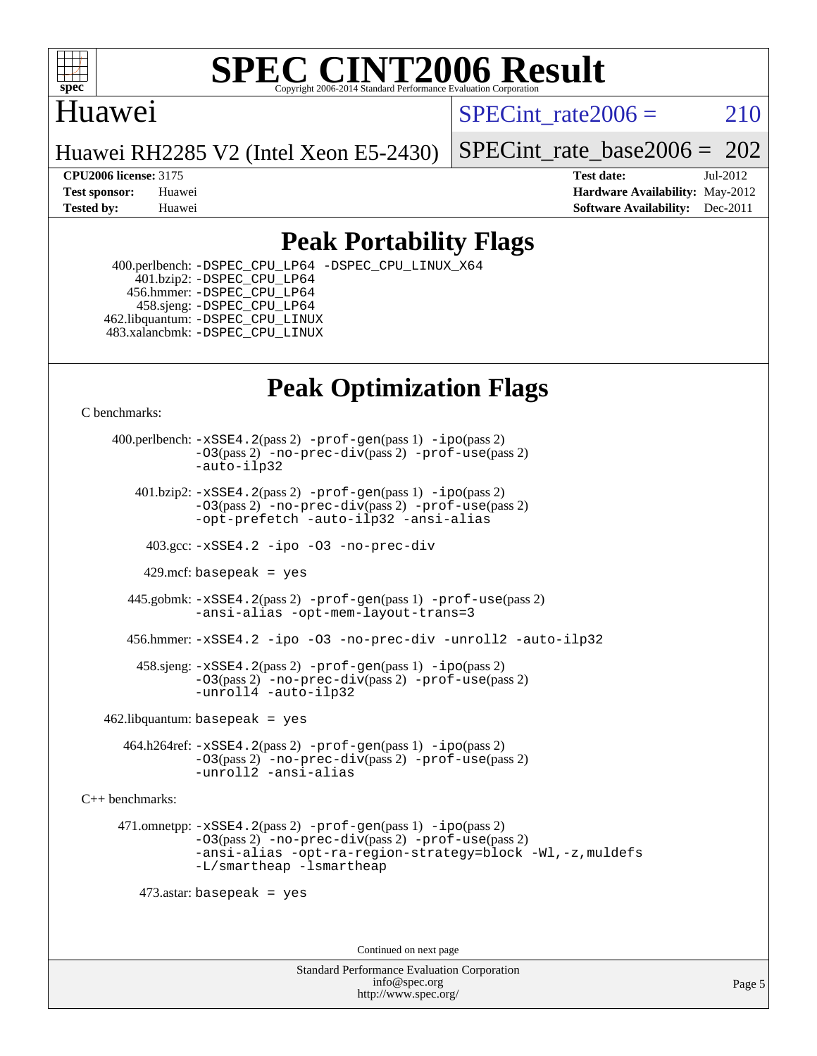

### Huawei

SPECint rate $2006 = 210$ 

Huawei RH2285 V2 (Intel Xeon E5-2430)

[SPECint\\_rate\\_base2006 =](http://www.spec.org/auto/cpu2006/Docs/result-fields.html#SPECintratebase2006) 202

**[CPU2006 license:](http://www.spec.org/auto/cpu2006/Docs/result-fields.html#CPU2006license)** 3175 **[Test date:](http://www.spec.org/auto/cpu2006/Docs/result-fields.html#Testdate)** Jul-2012 **[Test sponsor:](http://www.spec.org/auto/cpu2006/Docs/result-fields.html#Testsponsor)** Huawei **[Hardware Availability:](http://www.spec.org/auto/cpu2006/Docs/result-fields.html#HardwareAvailability)** May-2012 **[Tested by:](http://www.spec.org/auto/cpu2006/Docs/result-fields.html#Testedby)** Huawei **[Software Availability:](http://www.spec.org/auto/cpu2006/Docs/result-fields.html#SoftwareAvailability)** Dec-2011

## **[Peak Portability Flags](http://www.spec.org/auto/cpu2006/Docs/result-fields.html#PeakPortabilityFlags)**

 400.perlbench: [-DSPEC\\_CPU\\_LP64](http://www.spec.org/cpu2006/results/res2012q3/cpu2006-20120711-23596.flags.html#b400.perlbench_peakCPORTABILITY_DSPEC_CPU_LP64) [-DSPEC\\_CPU\\_LINUX\\_X64](http://www.spec.org/cpu2006/results/res2012q3/cpu2006-20120711-23596.flags.html#b400.perlbench_peakCPORTABILITY_DSPEC_CPU_LINUX_X64) 401.bzip2: [-DSPEC\\_CPU\\_LP64](http://www.spec.org/cpu2006/results/res2012q3/cpu2006-20120711-23596.flags.html#suite_peakCPORTABILITY401_bzip2_DSPEC_CPU_LP64) 456.hmmer: [-DSPEC\\_CPU\\_LP64](http://www.spec.org/cpu2006/results/res2012q3/cpu2006-20120711-23596.flags.html#suite_peakCPORTABILITY456_hmmer_DSPEC_CPU_LP64) 458.sjeng: [-DSPEC\\_CPU\\_LP64](http://www.spec.org/cpu2006/results/res2012q3/cpu2006-20120711-23596.flags.html#suite_peakCPORTABILITY458_sjeng_DSPEC_CPU_LP64) 462.libquantum: [-DSPEC\\_CPU\\_LINUX](http://www.spec.org/cpu2006/results/res2012q3/cpu2006-20120711-23596.flags.html#b462.libquantum_peakCPORTABILITY_DSPEC_CPU_LINUX) 483.xalancbmk: [-DSPEC\\_CPU\\_LINUX](http://www.spec.org/cpu2006/results/res2012q3/cpu2006-20120711-23596.flags.html#b483.xalancbmk_peakCXXPORTABILITY_DSPEC_CPU_LINUX)

# **[Peak Optimization Flags](http://www.spec.org/auto/cpu2006/Docs/result-fields.html#PeakOptimizationFlags)**

[C benchmarks](http://www.spec.org/auto/cpu2006/Docs/result-fields.html#Cbenchmarks):

 400.perlbench: [-xSSE4.2](http://www.spec.org/cpu2006/results/res2012q3/cpu2006-20120711-23596.flags.html#user_peakPASS2_CFLAGSPASS2_LDCFLAGS400_perlbench_f-xSSE42_f91528193cf0b216347adb8b939d4107)(pass 2) [-prof-gen](http://www.spec.org/cpu2006/results/res2012q3/cpu2006-20120711-23596.flags.html#user_peakPASS1_CFLAGSPASS1_LDCFLAGS400_perlbench_prof_gen_e43856698f6ca7b7e442dfd80e94a8fc)(pass 1) [-ipo](http://www.spec.org/cpu2006/results/res2012q3/cpu2006-20120711-23596.flags.html#user_peakPASS2_CFLAGSPASS2_LDCFLAGS400_perlbench_f-ipo)(pass 2) [-O3](http://www.spec.org/cpu2006/results/res2012q3/cpu2006-20120711-23596.flags.html#user_peakPASS2_CFLAGSPASS2_LDCFLAGS400_perlbench_f-O3)(pass 2) [-no-prec-div](http://www.spec.org/cpu2006/results/res2012q3/cpu2006-20120711-23596.flags.html#user_peakPASS2_CFLAGSPASS2_LDCFLAGS400_perlbench_f-no-prec-div)(pass 2) [-prof-use](http://www.spec.org/cpu2006/results/res2012q3/cpu2006-20120711-23596.flags.html#user_peakPASS2_CFLAGSPASS2_LDCFLAGS400_perlbench_prof_use_bccf7792157ff70d64e32fe3e1250b55)(pass 2) [-auto-ilp32](http://www.spec.org/cpu2006/results/res2012q3/cpu2006-20120711-23596.flags.html#user_peakCOPTIMIZE400_perlbench_f-auto-ilp32)  $401.bzip2: -xSSE4.2(pass 2) -prof-qen(pass 1) -ipo(pass 2)$  $401.bzip2: -xSSE4.2(pass 2) -prof-qen(pass 1) -ipo(pass 2)$  $401.bzip2: -xSSE4.2(pass 2) -prof-qen(pass 1) -ipo(pass 2)$  $401.bzip2: -xSSE4.2(pass 2) -prof-qen(pass 1) -ipo(pass 2)$  $401.bzip2: -xSSE4.2(pass 2) -prof-qen(pass 1) -ipo(pass 2)$ [-O3](http://www.spec.org/cpu2006/results/res2012q3/cpu2006-20120711-23596.flags.html#user_peakPASS2_CFLAGSPASS2_LDCFLAGS401_bzip2_f-O3)(pass 2) [-no-prec-div](http://www.spec.org/cpu2006/results/res2012q3/cpu2006-20120711-23596.flags.html#user_peakPASS2_CFLAGSPASS2_LDCFLAGS401_bzip2_f-no-prec-div)(pass 2) [-prof-use](http://www.spec.org/cpu2006/results/res2012q3/cpu2006-20120711-23596.flags.html#user_peakPASS2_CFLAGSPASS2_LDCFLAGS401_bzip2_prof_use_bccf7792157ff70d64e32fe3e1250b55)(pass 2) [-opt-prefetch](http://www.spec.org/cpu2006/results/res2012q3/cpu2006-20120711-23596.flags.html#user_peakCOPTIMIZE401_bzip2_f-opt-prefetch) [-auto-ilp32](http://www.spec.org/cpu2006/results/res2012q3/cpu2006-20120711-23596.flags.html#user_peakCOPTIMIZE401_bzip2_f-auto-ilp32) [-ansi-alias](http://www.spec.org/cpu2006/results/res2012q3/cpu2006-20120711-23596.flags.html#user_peakCOPTIMIZE401_bzip2_f-ansi-alias) 403.gcc: [-xSSE4.2](http://www.spec.org/cpu2006/results/res2012q3/cpu2006-20120711-23596.flags.html#user_peakCOPTIMIZE403_gcc_f-xSSE42_f91528193cf0b216347adb8b939d4107) [-ipo](http://www.spec.org/cpu2006/results/res2012q3/cpu2006-20120711-23596.flags.html#user_peakCOPTIMIZE403_gcc_f-ipo) [-O3](http://www.spec.org/cpu2006/results/res2012q3/cpu2006-20120711-23596.flags.html#user_peakCOPTIMIZE403_gcc_f-O3) [-no-prec-div](http://www.spec.org/cpu2006/results/res2012q3/cpu2006-20120711-23596.flags.html#user_peakCOPTIMIZE403_gcc_f-no-prec-div) 429.mcf: basepeak = yes 445.gobmk: [-xSSE4.2](http://www.spec.org/cpu2006/results/res2012q3/cpu2006-20120711-23596.flags.html#user_peakPASS2_CFLAGSPASS2_LDCFLAGS445_gobmk_f-xSSE42_f91528193cf0b216347adb8b939d4107)(pass 2) [-prof-gen](http://www.spec.org/cpu2006/results/res2012q3/cpu2006-20120711-23596.flags.html#user_peakPASS1_CFLAGSPASS1_LDCFLAGS445_gobmk_prof_gen_e43856698f6ca7b7e442dfd80e94a8fc)(pass 1) [-prof-use](http://www.spec.org/cpu2006/results/res2012q3/cpu2006-20120711-23596.flags.html#user_peakPASS2_CFLAGSPASS2_LDCFLAGS445_gobmk_prof_use_bccf7792157ff70d64e32fe3e1250b55)(pass 2) [-ansi-alias](http://www.spec.org/cpu2006/results/res2012q3/cpu2006-20120711-23596.flags.html#user_peakCOPTIMIZE445_gobmk_f-ansi-alias) [-opt-mem-layout-trans=3](http://www.spec.org/cpu2006/results/res2012q3/cpu2006-20120711-23596.flags.html#user_peakCOPTIMIZE445_gobmk_f-opt-mem-layout-trans_a7b82ad4bd7abf52556d4961a2ae94d5) 456.hmmer: [-xSSE4.2](http://www.spec.org/cpu2006/results/res2012q3/cpu2006-20120711-23596.flags.html#user_peakCOPTIMIZE456_hmmer_f-xSSE42_f91528193cf0b216347adb8b939d4107) [-ipo](http://www.spec.org/cpu2006/results/res2012q3/cpu2006-20120711-23596.flags.html#user_peakCOPTIMIZE456_hmmer_f-ipo) [-O3](http://www.spec.org/cpu2006/results/res2012q3/cpu2006-20120711-23596.flags.html#user_peakCOPTIMIZE456_hmmer_f-O3) [-no-prec-div](http://www.spec.org/cpu2006/results/res2012q3/cpu2006-20120711-23596.flags.html#user_peakCOPTIMIZE456_hmmer_f-no-prec-div) [-unroll2](http://www.spec.org/cpu2006/results/res2012q3/cpu2006-20120711-23596.flags.html#user_peakCOPTIMIZE456_hmmer_f-unroll_784dae83bebfb236979b41d2422d7ec2) [-auto-ilp32](http://www.spec.org/cpu2006/results/res2012q3/cpu2006-20120711-23596.flags.html#user_peakCOPTIMIZE456_hmmer_f-auto-ilp32) 458.sjeng: [-xSSE4.2](http://www.spec.org/cpu2006/results/res2012q3/cpu2006-20120711-23596.flags.html#user_peakPASS2_CFLAGSPASS2_LDCFLAGS458_sjeng_f-xSSE42_f91528193cf0b216347adb8b939d4107)(pass 2) [-prof-gen](http://www.spec.org/cpu2006/results/res2012q3/cpu2006-20120711-23596.flags.html#user_peakPASS1_CFLAGSPASS1_LDCFLAGS458_sjeng_prof_gen_e43856698f6ca7b7e442dfd80e94a8fc)(pass 1) [-ipo](http://www.spec.org/cpu2006/results/res2012q3/cpu2006-20120711-23596.flags.html#user_peakPASS2_CFLAGSPASS2_LDCFLAGS458_sjeng_f-ipo)(pass 2) [-O3](http://www.spec.org/cpu2006/results/res2012q3/cpu2006-20120711-23596.flags.html#user_peakPASS2_CFLAGSPASS2_LDCFLAGS458_sjeng_f-O3)(pass 2) [-no-prec-div](http://www.spec.org/cpu2006/results/res2012q3/cpu2006-20120711-23596.flags.html#user_peakPASS2_CFLAGSPASS2_LDCFLAGS458_sjeng_f-no-prec-div)(pass 2) [-prof-use](http://www.spec.org/cpu2006/results/res2012q3/cpu2006-20120711-23596.flags.html#user_peakPASS2_CFLAGSPASS2_LDCFLAGS458_sjeng_prof_use_bccf7792157ff70d64e32fe3e1250b55)(pass 2) [-unroll4](http://www.spec.org/cpu2006/results/res2012q3/cpu2006-20120711-23596.flags.html#user_peakCOPTIMIZE458_sjeng_f-unroll_4e5e4ed65b7fd20bdcd365bec371b81f) [-auto-ilp32](http://www.spec.org/cpu2006/results/res2012q3/cpu2006-20120711-23596.flags.html#user_peakCOPTIMIZE458_sjeng_f-auto-ilp32)  $462$ .libquantum: basepeak = yes 464.h264ref: [-xSSE4.2](http://www.spec.org/cpu2006/results/res2012q3/cpu2006-20120711-23596.flags.html#user_peakPASS2_CFLAGSPASS2_LDCFLAGS464_h264ref_f-xSSE42_f91528193cf0b216347adb8b939d4107)(pass 2) [-prof-gen](http://www.spec.org/cpu2006/results/res2012q3/cpu2006-20120711-23596.flags.html#user_peakPASS1_CFLAGSPASS1_LDCFLAGS464_h264ref_prof_gen_e43856698f6ca7b7e442dfd80e94a8fc)(pass 1) [-ipo](http://www.spec.org/cpu2006/results/res2012q3/cpu2006-20120711-23596.flags.html#user_peakPASS2_CFLAGSPASS2_LDCFLAGS464_h264ref_f-ipo)(pass 2) [-O3](http://www.spec.org/cpu2006/results/res2012q3/cpu2006-20120711-23596.flags.html#user_peakPASS2_CFLAGSPASS2_LDCFLAGS464_h264ref_f-O3)(pass 2) [-no-prec-div](http://www.spec.org/cpu2006/results/res2012q3/cpu2006-20120711-23596.flags.html#user_peakPASS2_CFLAGSPASS2_LDCFLAGS464_h264ref_f-no-prec-div)(pass 2) [-prof-use](http://www.spec.org/cpu2006/results/res2012q3/cpu2006-20120711-23596.flags.html#user_peakPASS2_CFLAGSPASS2_LDCFLAGS464_h264ref_prof_use_bccf7792157ff70d64e32fe3e1250b55)(pass 2) [-unroll2](http://www.spec.org/cpu2006/results/res2012q3/cpu2006-20120711-23596.flags.html#user_peakCOPTIMIZE464_h264ref_f-unroll_784dae83bebfb236979b41d2422d7ec2) [-ansi-alias](http://www.spec.org/cpu2006/results/res2012q3/cpu2006-20120711-23596.flags.html#user_peakCOPTIMIZE464_h264ref_f-ansi-alias) [C++ benchmarks:](http://www.spec.org/auto/cpu2006/Docs/result-fields.html#CXXbenchmarks) 471.omnetpp: [-xSSE4.2](http://www.spec.org/cpu2006/results/res2012q3/cpu2006-20120711-23596.flags.html#user_peakPASS2_CXXFLAGSPASS2_LDCXXFLAGS471_omnetpp_f-xSSE42_f91528193cf0b216347adb8b939d4107)(pass 2) [-prof-gen](http://www.spec.org/cpu2006/results/res2012q3/cpu2006-20120711-23596.flags.html#user_peakPASS1_CXXFLAGSPASS1_LDCXXFLAGS471_omnetpp_prof_gen_e43856698f6ca7b7e442dfd80e94a8fc)(pass 1) [-ipo](http://www.spec.org/cpu2006/results/res2012q3/cpu2006-20120711-23596.flags.html#user_peakPASS2_CXXFLAGSPASS2_LDCXXFLAGS471_omnetpp_f-ipo)(pass 2) [-O3](http://www.spec.org/cpu2006/results/res2012q3/cpu2006-20120711-23596.flags.html#user_peakPASS2_CXXFLAGSPASS2_LDCXXFLAGS471_omnetpp_f-O3)(pass 2) [-no-prec-div](http://www.spec.org/cpu2006/results/res2012q3/cpu2006-20120711-23596.flags.html#user_peakPASS2_CXXFLAGSPASS2_LDCXXFLAGS471_omnetpp_f-no-prec-div)(pass 2) [-prof-use](http://www.spec.org/cpu2006/results/res2012q3/cpu2006-20120711-23596.flags.html#user_peakPASS2_CXXFLAGSPASS2_LDCXXFLAGS471_omnetpp_prof_use_bccf7792157ff70d64e32fe3e1250b55)(pass 2) [-ansi-alias](http://www.spec.org/cpu2006/results/res2012q3/cpu2006-20120711-23596.flags.html#user_peakCXXOPTIMIZE471_omnetpp_f-ansi-alias) [-opt-ra-region-strategy=block](http://www.spec.org/cpu2006/results/res2012q3/cpu2006-20120711-23596.flags.html#user_peakCXXOPTIMIZE471_omnetpp_f-opt-ra-region-strategy_a0a37c372d03933b2a18d4af463c1f69) [-Wl,-z,muldefs](http://www.spec.org/cpu2006/results/res2012q3/cpu2006-20120711-23596.flags.html#user_peakEXTRA_LDFLAGS471_omnetpp_link_force_multiple1_74079c344b956b9658436fd1b6dd3a8a) [-L/smartheap -lsmartheap](http://www.spec.org/cpu2006/results/res2012q3/cpu2006-20120711-23596.flags.html#user_peakEXTRA_LIBS471_omnetpp_SmartHeap_7c9e394a5779e1a7fec7c221e123830c) 473.astar: basepeak = yes Continued on next page

> Standard Performance Evaluation Corporation [info@spec.org](mailto:info@spec.org) <http://www.spec.org/>